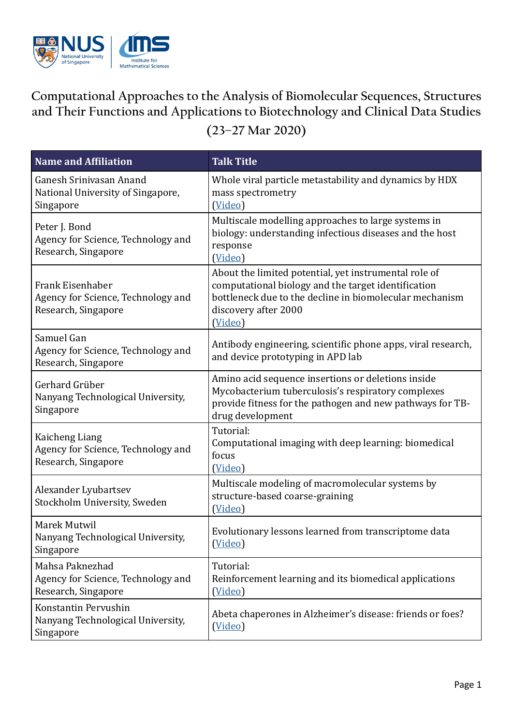

## **Computational Approaches to the Analysis of Biomolecular Sequences, Structures and Their Functions and Applications to Biotechnology and Clinical Data Studies (23–27 Mar 2020)**

| <b>Name and Affiliation</b>                                                   | <b>Talk Title</b>                                                                                                                                                                                          |
|-------------------------------------------------------------------------------|------------------------------------------------------------------------------------------------------------------------------------------------------------------------------------------------------------|
| Ganesh Sriniyasan Anand<br>National University of Singapore,<br>Singapore     | Whole viral particle metastability and dynamics by HDX<br>mass spectrometry<br>(Video)                                                                                                                     |
| Peter J. Bond<br>Agency for Science, Technology and<br>Research, Singapore    | Multiscale modelling approaches to large systems in<br>biology: understanding infectious diseases and the host<br>response<br>(Video)                                                                      |
| Frank Eisenhaber<br>Agency for Science, Technology and<br>Research, Singapore | About the limited potential, yet instrumental role of<br>computational biology and the target identification<br>bottleneck due to the decline in biomolecular mechanism<br>discovery after 2000<br>(Video) |
| Samuel Gan<br>Agency for Science, Technology and<br>Research, Singapore       | Antibody engineering, scientific phone apps, viral research,<br>and device prototyping in APD lab                                                                                                          |
| Gerhard Grüber<br>Nanyang Technological University,<br>Singapore              | Amino acid sequence insertions or deletions inside<br>Mycobacterium tuberculosis's respiratory complexes<br>provide fitness for the pathogen and new pathways for TB-<br>drug development                  |
| Kaicheng Liang<br>Agency for Science, Technology and<br>Research, Singapore   | Tutorial:<br>Computational imaging with deep learning: biomedical<br>focus<br>(Video)                                                                                                                      |
| Alexander Lyubartsev<br>Stockholm University, Sweden                          | Multiscale modeling of macromolecular systems by<br>structure-based coarse-graining<br>(Video)                                                                                                             |
| Marek Mutwil<br>Nanyang Technological University,<br>Singapore                | Evolutionary lessons learned from transcriptome data<br>(Video)                                                                                                                                            |
| Mahsa Paknezhad<br>Agency for Science, Technology and<br>Research, Singapore  | Tutorial:<br>Reinforcement learning and its biomedical applications<br>(Video)                                                                                                                             |
| Konstantin Pervushin<br>Nanyang Technological University,<br>Singapore        | Abeta chaperones in Alzheimer's disease: friends or foes?<br>(Video)                                                                                                                                       |